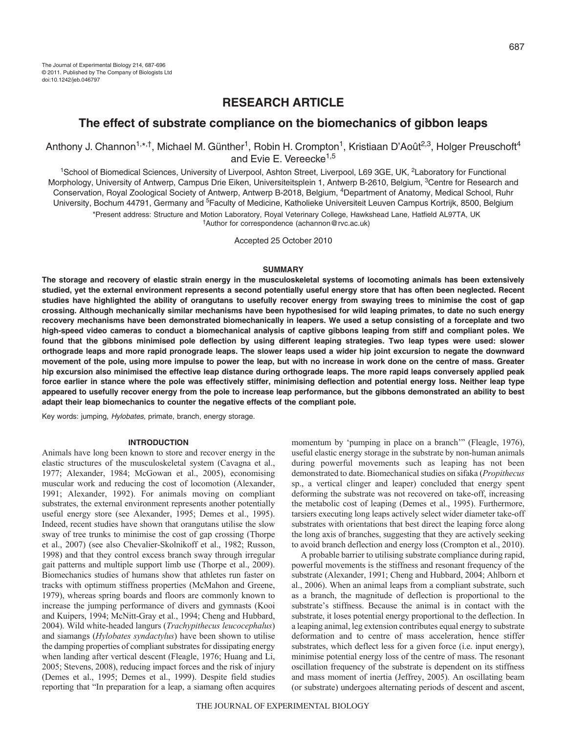# **RESEARCH ARTICLE**

# **The effect of substrate compliance on the biomechanics of gibbon leaps**

Anthony J. Channon<sup>1,\*,†</sup>, Michael M. Günther<sup>1</sup>, Robin H. Crompton<sup>1</sup>, Kristiaan D'Août<sup>2,3</sup>, Holger Preuschoft<sup>4</sup> and Evie E. Vereecke<sup>1,5</sup>

1School of Biomedical Sciences, University of Liverpool, Ashton Street, Liverpool, L69 3GE, UK, 2Laboratory for Functional Morphology, University of Antwerp, Campus Drie Eiken, Universiteitsplein 1, Antwerp B-2610, Belgium, <sup>3</sup>Centre for Research and Conservation, Royal Zoological Society of Antwerp, Antwerp B-2018, Belgium, 4Department of Anatomy, Medical School, Ruhr University, Bochum 44791, Germany and <sup>5</sup>Faculty of Medicine, Katholieke Universiteit Leuven Campus Kortrijk, 8500, Belgium \*Present address: Structure and Motion Laboratory, Royal Veterinary College, Hawkshead Lane, Hatfield AL97TA, UK †Author for correspondence (achannon@rvc.ac.uk)

Accepted 25 October 2010

### **SUMMARY**

**The storage and recovery of elastic strain energy in the musculoskeletal systems of locomoting animals has been extensively studied, yet the external environment represents a second potentially useful energy store that has often been neglected. Recent studies have highlighted the ability of orangutans to usefully recover energy from swaying trees to minimise the cost of gap crossing. Although mechanically similar mechanisms have been hypothesised for wild leaping primates, to date no such energy recovery mechanisms have been demonstrated biomechanically in leapers. We used a setup consisting of a forceplate and two high-speed video cameras to conduct a biomechanical analysis of captive gibbons leaping from stiff and compliant poles. We found that the gibbons minimised pole deflection by using different leaping strategies. Two leap types were used: slower orthograde leaps and more rapid pronograde leaps. The slower leaps used a wider hip joint excursion to negate the downward movement of the pole, using more impulse to power the leap, but with no increase in work done on the centre of mass. Greater hip excursion also minimised the effective leap distance during orthograde leaps. The more rapid leaps conversely applied peak force earlier in stance where the pole was effectively stiffer, minimising deflection and potential energy loss. Neither leap type appeared to usefully recover energy from the pole to increase leap performance, but the gibbons demonstrated an ability to best adapt their leap biomechanics to counter the negative effects of the compliant pole.**

Key words: jumping, Hylobates, primate, branch, energy storage.

### **INTRODUCTION**

Animals have long been known to store and recover energy in the elastic structures of the musculoskeletal system (Cavagna et al., 1977; Alexander, 1984; McGowan et al., 2005), economising muscular work and reducing the cost of locomotion (Alexander, 1991; Alexander, 1992). For animals moving on compliant substrates, the external environment represents another potentially useful energy store (see Alexander, 1995; Demes et al., 1995). Indeed, recent studies have shown that orangutans utilise the slow sway of tree trunks to minimise the cost of gap crossing (Thorpe et al., 2007) (see also Chevalier-Skolnikoff et al., 1982; Russon, 1998) and that they control excess branch sway through irregular gait patterns and multiple support limb use (Thorpe et al., 2009). Biomechanics studies of humans show that athletes run faster on tracks with optimum stiffness properties (McMahon and Greene, 1979), whereas spring boards and floors are commonly known to increase the jumping performance of divers and gymnasts (Kooi and Kuipers, 1994; McNitt-Gray et al., 1994; Cheng and Hubbard, 2004). Wild white-headed langurs (*Trachypithecus leucocephalus*) and siamangs (*Hylobates syndactylus*) have been shown to utilise the damping properties of compliant substrates for dissipating energy when landing after vertical descent (Fleagle, 1976; Huang and Li, 2005; Stevens, 2008), reducing impact forces and the risk of injury (Demes et al., 1995; Demes et al., 1999). Despite field studies reporting that "In preparation for a leap, a siamang often acquires

momentum by 'pumping in place on a branch'" (Fleagle, 1976), useful elastic energy storage in the substrate by non-human animals during powerful movements such as leaping has not been demonstrated to date. Biomechanical studies on sifaka (*Propithecus* sp., a vertical clinger and leaper) concluded that energy spent deforming the substrate was not recovered on take-off, increasing the metabolic cost of leaping (Demes et al., 1995). Furthermore, tarsiers executing long leaps actively select wider diameter take-off substrates with orientations that best direct the leaping force along the long axis of branches, suggesting that they are actively seeking to avoid branch deflection and energy loss (Crompton et al., 2010).

A probable barrier to utilising substrate compliance during rapid, powerful movements is the stiffness and resonant frequency of the substrate (Alexander, 1991; Cheng and Hubbard, 2004; Ahlborn et al., 2006). When an animal leaps from a compliant substrate, such as a branch, the magnitude of deflection is proportional to the substrate's stiffness. Because the animal is in contact with the substrate, it loses potential energy proportional to the deflection. In a leaping animal, leg extension contributes equal energy to substrate deformation and to centre of mass acceleration, hence stiffer substrates, which deflect less for a given force (i.e. input energy), minimise potential energy loss of the centre of mass. The resonant oscillation frequency of the substrate is dependent on its stiffness and mass moment of inertia (Jeffrey, 2005). An oscillating beam (or substrate) undergoes alternating periods of descent and ascent,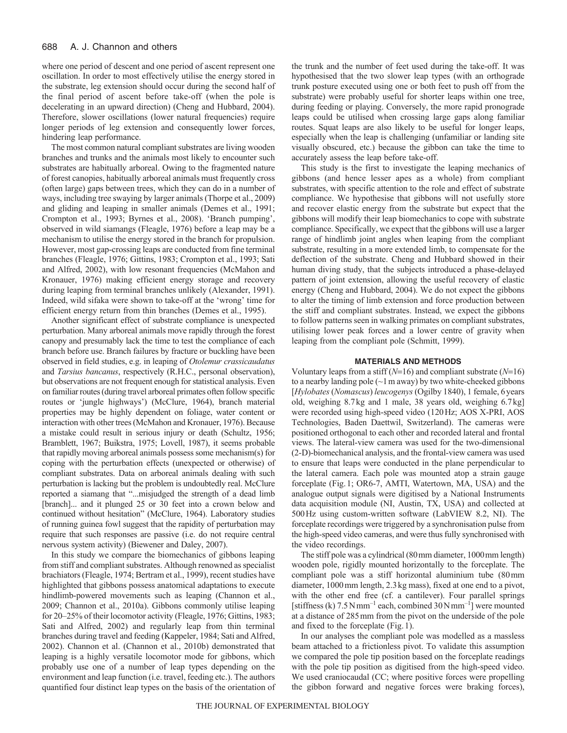where one period of descent and one period of ascent represent one oscillation. In order to most effectively utilise the energy stored in the substrate, leg extension should occur during the second half of the final period of ascent before take-off (when the pole is decelerating in an upward direction) (Cheng and Hubbard, 2004). Therefore, slower oscillations (lower natural frequencies) require longer periods of leg extension and consequently lower forces, hindering leap performance.

The most common natural compliant substrates are living wooden branches and trunks and the animals most likely to encounter such substrates are habitually arboreal. Owing to the fragmented nature of forest canopies, habitually arboreal animals must frequently cross (often large) gaps between trees, which they can do in a number of ways, including tree swaying by larger animals (Thorpe et al., 2009) and gliding and leaping in smaller animals (Demes et al., 1991; Crompton et al., 1993; Byrnes et al., 2008). 'Branch pumping', observed in wild siamangs (Fleagle, 1976) before a leap may be a mechanism to utilise the energy stored in the branch for propulsion. However, most gap-crossing leaps are conducted from fine terminal branches (Fleagle, 1976; Gittins, 1983; Crompton et al., 1993; Sati and Alfred, 2002), with low resonant frequencies (McMahon and Kronauer, 1976) making efficient energy storage and recovery during leaping from terminal branches unlikely (Alexander, 1991). Indeed, wild sifaka were shown to take-off at the 'wrong' time for efficient energy return from thin branches (Demes et al., 1995).

Another significant effect of substrate compliance is unexpected perturbation. Many arboreal animals move rapidly through the forest canopy and presumably lack the time to test the compliance of each branch before use. Branch failures by fracture or buckling have been observed in field studies, e.g. in leaping of *Otolemur crassicaudatus* and *Tarsius bancanus*, respectively (R.H.C., personal observation), but observations are not frequent enough for statistical analysis. Even on familiar routes (during travel arboreal primates often follow specific routes or 'jungle highways') (McClure, 1964), branch material properties may be highly dependent on foliage, water content or interaction with other trees (McMahon and Kronauer, 1976). Because a mistake could result in serious injury or death (Schultz, 1956; Bramblett, 1967; Buikstra, 1975; Lovell, 1987), it seems probable that rapidly moving arboreal animals possess some mechanism(s) for coping with the perturbation effects (unexpected or otherwise) of compliant substrates. Data on arboreal animals dealing with such perturbation is lacking but the problem is undoubtedly real. McClure reported a siamang that "...misjudged the strength of a dead limb [branch]... and it plunged 25 or 30 feet into a crown below and continued without hesitation" (McClure, 1964). Laboratory studies of running guinea fowl suggest that the rapidity of perturbation may require that such responses are passive (i.e. do not require central nervous system activity) (Biewener and Daley, 2007).

In this study we compare the biomechanics of gibbons leaping from stiff and compliant substrates. Although renowned as specialist brachiators (Fleagle, 1974; Bertram et al., 1999), recent studies have highlighted that gibbons possess anatomical adaptations to execute hindlimb-powered movements such as leaping (Channon et al., 2009; Channon et al., 2010a). Gibbons commonly utilise leaping for 20–25% of their locomotor activity (Fleagle, 1976; Gittins, 1983; Sati and Alfred, 2002) and regularly leap from thin terminal branches during travel and feeding (Kappeler, 1984; Sati and Alfred, 2002). Channon et al. (Channon et al., 2010b) demonstrated that leaping is a highly versatile locomotor mode for gibbons, which probably use one of a number of leap types depending on the environment and leap function (i.e. travel, feeding etc.). The authors quantified four distinct leap types on the basis of the orientation of the trunk and the number of feet used during the take-off. It was hypothesised that the two slower leap types (with an orthograde trunk posture executed using one or both feet to push off from the substrate) were probably useful for shorter leaps within one tree, during feeding or playing. Conversely, the more rapid pronograde leaps could be utilised when crossing large gaps along familiar routes. Squat leaps are also likely to be useful for longer leaps, especially when the leap is challenging (unfamiliar or landing site visually obscured, etc.) because the gibbon can take the time to accurately assess the leap before take-off.

This study is the first to investigate the leaping mechanics of gibbons (and hence lesser apes as a whole) from compliant substrates, with specific attention to the role and effect of substrate compliance. We hypothesise that gibbons will not usefully store and recover elastic energy from the substrate but expect that the gibbons will modify their leap biomechanics to cope with substrate compliance. Specifically, we expect that the gibbons will use a larger range of hindlimb joint angles when leaping from the compliant substrate, resulting in a more extended limb, to compensate for the deflection of the substrate. Cheng and Hubbard showed in their human diving study, that the subjects introduced a phase-delayed pattern of joint extension, allowing the useful recovery of elastic energy (Cheng and Hubbard, 2004). We do not expect the gibbons to alter the timing of limb extension and force production between the stiff and compliant substrates. Instead, we expect the gibbons to follow patterns seen in walking primates on compliant substrates, utilising lower peak forces and a lower centre of gravity when leaping from the compliant pole (Schmitt, 1999).

# **MATERIALS AND METHODS**

Voluntary leaps from a stiff  $(N=16)$  and compliant substrate  $(N=16)$ to a nearby landing pole  $(\sim 1 \text{ m away})$  by two white-cheeked gibbons [*Hylobates*(*Nomascus*) *leucogenys* (Ogilby 1840), 1 female, 6years old, weighing 8.7kg and 1 male, 38 years old, weighing 6.7kg] were recorded using high-speed video (120Hz; AOS X-PRI, AOS Technologies, Baden Daettwil, Switzerland). The cameras were positioned orthogonal to each other and recorded lateral and frontal views. The lateral-view camera was used for the two-dimensional (2-D)-biomechanical analysis, and the frontal-view camera was used to ensure that leaps were conducted in the plane perpendicular to the lateral camera. Each pole was mounted atop a strain gauge forceplate (Fig.1; OR6-7, AMTI, Watertown, MA, USA) and the analogue output signals were digitised by a National Instruments data acquisition module (NI, Austin, TX, USA) and collected at 500Hz using custom-written software (LabVIEW 8.2, NI). The forceplate recordings were triggered by a synchronisation pulse from the high-speed video cameras, and were thus fully synchronised with the video recordings.

The stiff pole was a cylindrical (80mm diameter, 1000mm length) wooden pole, rigidly mounted horizontally to the forceplate. The compliant pole was a stiff horizontal aluminium tube (80mm diameter, 1000mm length, 2.3kg mass), fixed at one end to a pivot, with the other end free (cf. a cantilever). Four parallel springs [stiffness (k)  $7.5 \text{ N}\text{mm}^{-1}$  each, combined  $30 \text{ N}\text{mm}^{-1}$ ] were mounted at a distance of 285mm from the pivot on the underside of the pole and fixed to the forceplate (Fig.1).

In our analyses the compliant pole was modelled as a massless beam attached to a frictionless pivot. To validate this assumption we compared the pole tip position based on the forceplate readings with the pole tip position as digitised from the high-speed video. We used craniocaudal (CC; where positive forces were propelling the gibbon forward and negative forces were braking forces),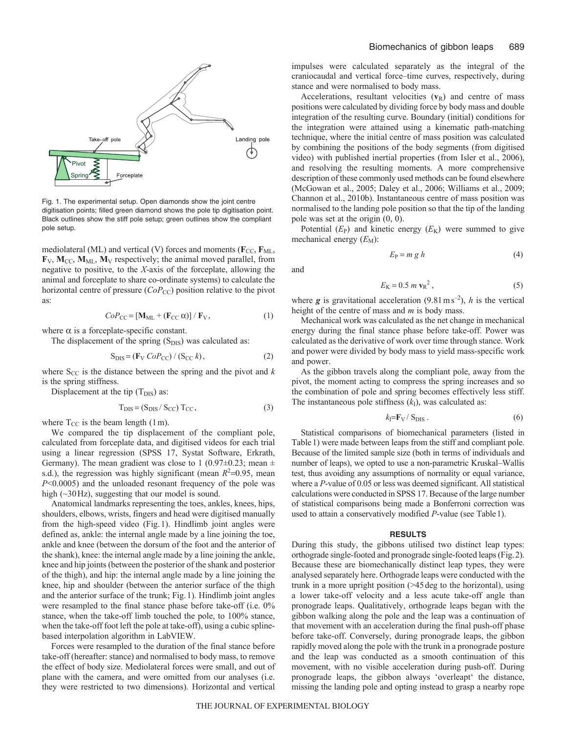

Fig. 1. The experimental setup. Open diamonds show the joint centre digitisation points; filled green diamond shows the pole tip digitisation point. Black outlines show the stiff pole setup; green outlines show the compliant pole setup.

mediolateral (ML) and vertical (V) forces and moments ( $\mathbf{F}_{CC}$ ,  $\mathbf{F}_{ML}$ ,  $\mathbf{F}_V$ ,  $\mathbf{M}_{CC}$ ,  $\mathbf{M}_{ML}$ ,  $\mathbf{M}_V$  respectively; the animal moved parallel, from negative to positive, to the *X*-axis of the forceplate, allowing the animal and forceplate to share co-ordinate systems) to calculate the horizontal centre of pressure (*CoP<sub>CC</sub>*) position relative to the pivot as:

$$
CoP_{CC} = [\mathbf{M}_{ML} + (\mathbf{F}_{CC} \alpha)] / \mathbf{F}_{V}, \qquad (1)
$$

where  $\alpha$  is a forceplate-specific constant.

The displacement of the spring  $(S_{DIS})$  was calculated as:

$$
S_{\text{DIS}} = (F_V \, CoP_{\text{CC}}) / (S_{\text{CC}} \, k), \tag{2}
$$

where  $S_{CC}$  is the distance between the spring and the pivot and  $k$ is the spring stiffness.

Displacement at the tip  $(T_{DIS})$  as:

$$
T_{\text{DIS}} = (S_{\text{DIS}} / S_{\text{CC}}) T_{\text{CC}},\tag{3}
$$

where  $T_{CC}$  is the beam length (1 m).

We compared the tip displacement of the compliant pole, calculated from forceplate data, and digitised videos for each trial using a linear regression (SPSS 17, Systat Software, Erkrath, Germany). The mean gradient was close to 1 (0.97 $\pm$ 0.23; mean  $\pm$ s.d.), the regression was highly significant (mean  $R^2$ =0.95, mean *P*<0.0005) and the unloaded resonant frequency of the pole was high (~30Hz), suggesting that our model is sound.

Anatomical landmarks representing the toes, ankles, knees, hips, shoulders, elbows, wrists, fingers and head were digitised manually from the high-speed video (Fig.1). Hindlimb joint angles were defined as, ankle: the internal angle made by a line joining the toe, ankle and knee (between the dorsum of the foot and the anterior of the shank), knee: the internal angle made by a line joining the ankle, knee and hip joints (between the posterior of the shank and posterior of the thigh), and hip: the internal angle made by a line joining the knee, hip and shoulder (between the anterior surface of the thigh and the anterior surface of the trunk; Fig.1). Hindlimb joint angles were resampled to the final stance phase before take-off (i.e. 0% stance, when the take-off limb touched the pole, to 100% stance, when the take-off foot left the pole at take-off), using a cubic splinebased interpolation algorithm in LabVIEW.

Forces were resampled to the duration of the final stance before take-off (hereafter: stance) and normalised to body mass, to remove the effect of body size. Mediolateral forces were small, and out of plane with the camera, and were omitted from our analyses (i.e. they were restricted to two dimensions). Horizontal and vertical impulses were calculated separately as the integral of the craniocaudal and vertical force–time curves, respectively, during stance and were normalised to body mass.

Accelerations, resultant velocities  $(v_R)$  and centre of mass positions were calculated by dividing force by body mass and double integration of the resulting curve. Boundary (initial) conditions for the integration were attained using a kinematic path-matching technique, where the initial centre of mass position was calculated by combining the positions of the body segments (from digitised video) with published inertial properties (from Isler et al., 2006), and resolving the resulting moments. A more comprehensive description of these commonly used methods can be found elsewhere (McGowan et al., 2005; Daley et al., 2006; Williams et al., 2009; Channon et al., 2010b). Instantaneous centre of mass position was normalised to the landing pole position so that the tip of the landing pole was set at the origin (0, 0).

Potential  $(E_P)$  and kinetic energy  $(E_K)$  were summed to give mechanical energy  $(E_M)$ :

$$
E_P = m g h \tag{4}
$$

and

$$
E_{\rm K} = 0.5 \ m \ v_{\rm R}^2 \,, \tag{5}
$$

where  $g$  is gravitational acceleration (9.81 ms<sup>-2</sup>), *h* is the vertical height of the centre of mass and *m* is body mass.

Mechanical work was calculated as the net change in mechanical energy during the final stance phase before take-off. Power was calculated as the derivative of work over time through stance. Work and power were divided by body mass to yield mass-specific work and power.

As the gibbon travels along the compliant pole, away from the pivot, the moment acting to compress the spring increases and so the combination of pole and spring becomes effectively less stiff. The instantaneous pole stiffness  $(k<sub>I</sub>)$ , was calculated as:

$$
k_{\rm I} = \mathbf{F}_{\rm V} / S_{\rm DIS} \,. \tag{6}
$$

Statistical comparisons of biomechanical parameters (listed in Table1) were made between leaps from the stiff and compliant pole. Because of the limited sample size (both in terms of individuals and number of leaps), we opted to use a non-parametric Kruskal–Wallis test, thus avoiding any assumptions of normality or equal variance, where a *P*-value of 0.05 or less was deemed significant. All statistical calculations were conducted in SPSS 17. Because of the large number of statistical comparisons being made a Bonferroni correction was used to attain a conservatively modified *P*-value (see Table1).

### **RESULTS**

During this study, the gibbons utilised two distinct leap types: orthograde single-footed and pronograde single-footed leaps (Fig.2). Because these are biomechanically distinct leap types, they were analysed separately here. Orthograde leaps were conducted with the trunk in a more upright position (>45deg to the horizontal), using a lower take-off velocity and a less acute take-off angle than pronograde leaps. Qualitatively, orthograde leaps began with the gibbon walking along the pole and the leap was a continuation of that movement with an acceleration during the final push-off phase before take-off. Conversely, during pronograde leaps, the gibbon rapidly moved along the pole with the trunk in a pronograde posture and the leap was conducted as a smooth continuation of this movement, with no visible acceleration during push-off. During pronograde leaps, the gibbon always 'overleapt' the distance, missing the landing pole and opting instead to grasp a nearby rope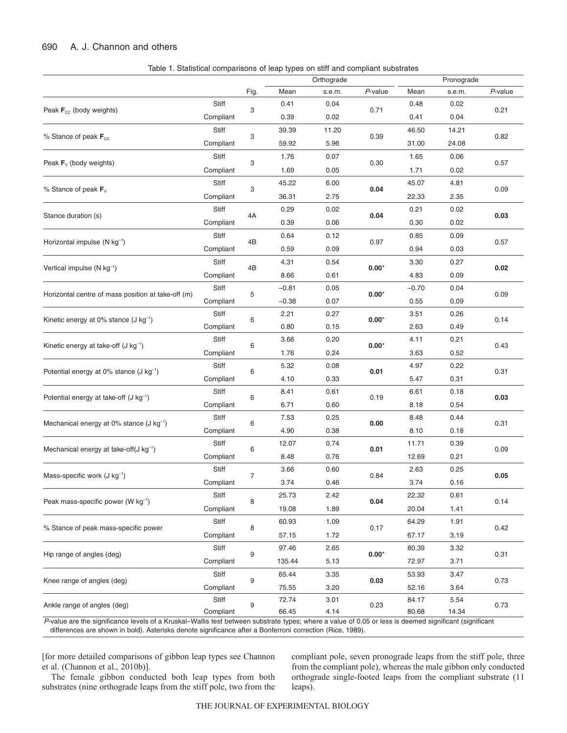#### 690 A. J. Channon and others

|                                                        |           |                |         | Orthograde |         |         | Pronograde |            |
|--------------------------------------------------------|-----------|----------------|---------|------------|---------|---------|------------|------------|
|                                                        |           | Fig.           | Mean    | s.e.m.     | P-value | Mean    | s.e.m.     | $P$ -value |
| Peak $F_{cc}$ (body weights)                           | Stiff     | 3              | 0.41    | 0.04       | 0.71    | 0.48    | 0.02       |            |
|                                                        | Compliant |                | 0.39    | 0.02       |         | 0.41    | 0.04       | 0.21       |
| % Stance of peak $F_{cc}$                              | Stiff     | 3              | 39.39   | 11.20      | 0.39    | 46.50   | 14.21      | 0.82       |
|                                                        | Compliant |                | 59.92   | 5.96       |         | 31.00   | 24.08      |            |
| Peak $F_v$ (body weights)                              | Stiff     | 3              | 1.76    | 0.07       | 0.30    | 1.65    | 0.06       | 0.57       |
|                                                        | Compliant |                | 1.69    | 0.05       |         | 1.71    | 0.02       |            |
| % Stance of peak $F_v$                                 | Stiff     | 3              | 45.22   | 6.00       | 0.04    | 45.07   | 4.81       | 0.09       |
|                                                        | Compliant |                | 36.31   | 2.75       |         | 22.33   | 2.35       |            |
| Stance duration (s)                                    | Stiff     | 4A             | 0.29    | 0.02       | 0.04    | 0.21    | 0.02       | 0.03       |
|                                                        | Compliant |                | 0.39    | 0.06       |         | 0.30    | 0.02       |            |
|                                                        | Stiff     |                | 0.64    | 0.12       | 0.97    | 0.85    | 0.09       | 0.57       |
| Horizontal impulse (N kg <sup>-1</sup> )               | Compliant | 4B             | 0.59    | 0.09       |         | 0.94    | 0.03       |            |
|                                                        | Stiff     |                | 4.31    | 0.54       | $0.00*$ | 3.30    | 0.27       | 0.02       |
| Vertical impulse (N kg <sup>-1</sup> )                 | Compliant | 4B             | 8.66    | 0.61       |         | 4.83    | 0.09       |            |
|                                                        | Stiff     |                | $-0.81$ | 0.05       | $0.00*$ | $-0.70$ | 0.04       | 0.09       |
| Horizontal centre of mass position at take-off (m)     | Compliant | 5              | $-0.38$ | 0.07       |         | 0.55    | 0.09       |            |
|                                                        | Stiff     | 6              | 2.21    | 0.27       | $0.00*$ | 3.51    | 0.26       | 0.14       |
| Kinetic energy at 0% stance $(J kg^{-1})$              | Compliant |                | 0.80    | 0.15       |         | 2.63    | 0.49       |            |
| Kinetic energy at take-off $(J kg^{-1})$               | Stiff     | 6              | 3.66    | 0.20       | $0.00*$ | 4.11    | 0.21       | 0.43       |
|                                                        | Compliant |                | 1.76    | 0.24       |         | 3.63    | 0.52       |            |
| Potential energy at $0\%$ stance (J kg <sup>-1</sup> ) | Stiff     | 6              | 5.32    | 0.08       | 0.01    | 4.97    | 0.22       | 0.31       |
|                                                        | Compliant |                | 4.10    | 0.33       |         | 5.47    | 0.31       |            |
| Potential energy at take-off $(J kg^{-1})$             | Stiff     | 6              | 8.41    | 0.61       | 0.19    | 6.61    | 0.18       | 0.03       |
|                                                        | Compliant |                | 6.71    | 0.60       |         | 8.18    | 0.54       |            |
| Mechanical energy at 0% stance $(J kg^{-1})$           | Stiff     | 6              | 7.53    | 0.25       | 0.00    | 8.48    | 0.44       | 0.31       |
|                                                        | Compliant |                | 4.90    | 0.38       |         | 8.10    | 0.18       |            |
|                                                        | Stiff     | 6              | 12.07   | 0.74       | 0.01    | 11.71   | 0.39       | 0.09       |
| Mechanical energy at take-off $(J kg^{-1})$            | Compliant |                | 8.48    | 0.76       |         | 12.69   | 0.21       |            |
| Mass-specific work (J kg <sup>-1</sup> )               | Stiff     | $\overline{7}$ | 3.66    | 0.60       | 0.84    | 2.63    | 0.25       | 0.05       |
|                                                        | Compliant |                | 3.74    | 0.46       |         | 3.74    | 0.16       |            |
| Peak mass-specific power (W kg <sup>-1</sup> )         | Stiff     | 8              | 25.73   | 2.42       | 0.04    | 22.32   | 0.61       | 0.14       |
|                                                        | Compliant |                | 19.08   | 1.89       |         | 20.04   | 1.41       |            |
| % Stance of peak mass-specific power                   | Stiff     | 8              | 60.93   | 1.09       | 0.17    | 64.29   | 1.91       | 0.42       |
|                                                        | Compliant |                | 57.15   | 1.72       |         | 67.17   | 3.19       |            |
| Hip range of angles (deg)                              | Stiff     | 9              | 97.46   | 2.65       | $0.00*$ | 80.39   | 3.32       | 0.31       |
|                                                        | Compliant |                | 135.44  | 5.13       |         | 72.97   | 3.71       |            |
| Knee range of angles (deg)                             | Stiff     | 9              | 65.44   | 3.35       | 0.03    | 53.93   | 3.47       | 0.73       |
|                                                        | Compliant |                | 75.55   | 3.20       |         | 52.16   | 3.64       |            |
| Ankle range of angles (deg)                            | Stiff     | 9              | 72.74   | 3.01       | 0.23    | 84.17   | 5.54       | 0.73       |
|                                                        | Compliant |                | 66.45   | 4.14       |         | 80.68   | 14.34      |            |

Table 1. Statistical comparisons of leap types on stiff and compliant substrates

*P*-value are the significance levels of a Kruskal–Wallis test between substrate types; where a value of 0.05 or less is deemed significant (significant differences are shown in bold). Asterisks denote significance after a Bonferroni correction (Rice, 1989).

[for more detailed comparisons of gibbon leap types see Channon et al. (Channon et al., 2010b)].

compliant pole, seven pronograde leaps from the stiff pole, three from the compliant pole), whereas the male gibbon only conducted orthograde single-footed leaps from the compliant substrate (11 leaps).

The female gibbon conducted both leap types from both substrates (nine orthograde leaps from the stiff pole, two from the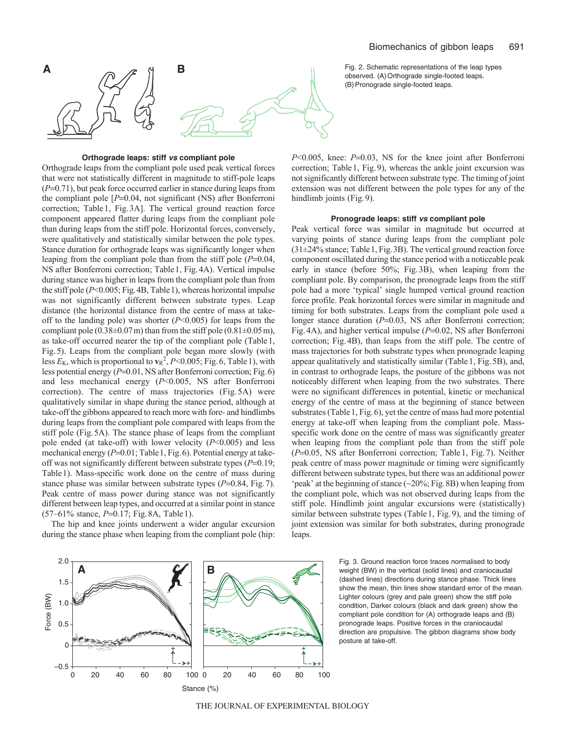

# **Orthograde leaps: stiff vs compliant pole**

Orthograde leaps from the compliant pole used peak vertical forces that were not statistically different in magnitude to stiff-pole leaps  $(P=0.71)$ , but peak force occurred earlier in stance during leaps from the compliant pole  $[P=0.04]$ , not significant (NS) after Bonferroni correction; Table1, Fig.3A]. The vertical ground reaction force component appeared flatter during leaps from the compliant pole than during leaps from the stiff pole. Horizontal forces, conversely, were qualitatively and statistically similar between the pole types. Stance duration for orthograde leaps was significantly longer when leaping from the compliant pole than from the stiff pole  $(P=0.04,$ NS after Bonferroni correction; Table1, Fig.4A). Vertical impulse during stance was higher in leaps from the compliant pole than from the stiff pole (*P*<0.005; Fig.4B, Table1), whereas horizontal impulse was not significantly different between substrate types. Leap distance (the horizontal distance from the centre of mass at takeoff to the landing pole) was shorter (*P*<0.005) for leaps from the compliant pole  $(0.38\pm0.07\,\text{m})$  than from the stiff pole  $(0.81\pm0.05\,\text{m})$ , as take-off occurred nearer the tip of the compliant pole (Table1, Fig.5). Leaps from the compliant pole began more slowly (with less  $E_{\rm K}$ , which is proportional to  $v_{\rm R}^2$ , *P*<0.005; Fig. 6, Table 1), with less potential energy ( $P=0.01$ , NS after Bonferroni correction; Fig. 6) and less mechanical energy (*P*<0.005, NS after Bonferroni correction). The centre of mass trajectories (Fig. 5A) were qualitatively similar in shape during the stance period, although at take-off the gibbons appeared to reach more with fore- and hindlimbs during leaps from the compliant pole compared with leaps from the stiff pole (Fig.5A). The stance phase of leaps from the compliant pole ended (at take-off) with lower velocity (*P*<0.005) and less mechanical energy (P=0.01; Table 1, Fig. 6). Potential energy at takeoff was not significantly different between substrate types  $(P=0.19)$ ; Table1). Mass-specific work done on the centre of mass during stance phase was similar between substrate types ( $P=0.84$ , Fig. 7). Peak centre of mass power during stance was not significantly different between leap types, and occurred at a similar point in stance (57–61% stance, *P*=0.17; Fig. 8A, Table 1).

The hip and knee joints underwent a wider angular excursion during the stance phase when leaping from the compliant pole (hip:

observed. (A) Orthograde single-footed leaps. (B)Pronograde single-footed leaps.

*P*<0.005, knee: *P*=0.03, NS for the knee joint after Bonferroni correction; Table1, Fig.9), whereas the ankle joint excursion was not significantly different between substrate type. The timing of joint extension was not different between the pole types for any of the hindlimb joints (Fig. 9).

#### **Pronograde leaps: stiff vs compliant pole**

Peak vertical force was similar in magnitude but occurred at varying points of stance during leaps from the compliant pole (31±24% stance; Table1, Fig.3B). The vertical ground reaction force component oscillated during the stance period with a noticeable peak early in stance (before 50%; Fig.3B), when leaping from the compliant pole. By comparison, the pronograde leaps from the stiff pole had a more 'typical' single humped vertical ground reaction force profile. Peak horizontal forces were similar in magnitude and timing for both substrates. Leaps from the compliant pole used a longer stance duration ( $P=0.03$ , NS after Bonferroni correction; Fig. 4A), and higher vertical impulse ( $P=0.02$ , NS after Bonferroni correction; Fig.4B), than leaps from the stiff pole. The centre of mass trajectories for both substrate types when pronograde leaping appear qualitatively and statistically similar (Table1, Fig.5B), and, in contrast to orthograde leaps, the posture of the gibbons was not noticeably different when leaping from the two substrates. There were no significant differences in potential, kinetic or mechanical energy of the centre of mass at the beginning of stance between substrates (Table 1, Fig. 6), yet the centre of mass had more potential energy at take-off when leaping from the compliant pole. Massspecific work done on the centre of mass was significantly greater when leaping from the compliant pole than from the stiff pole ( $P=0.05$ , NS after Bonferroni correction; Table 1, Fig. 7). Neither peak centre of mass power magnitude or timing were significantly different between substrate types, but there was an additional power 'peak' at the beginning of stance  $(\sim 20\%;$  Fig. 8B) when leaping from the compliant pole, which was not observed during leaps from the stiff pole. Hindlimb joint angular excursions were (statistically) similar between substrate types (Table1, Fig.9), and the timing of joint extension was similar for both substrates, during pronograde leaps.



Fig. 3. Ground reaction force traces normalised to body weight (BW) in the vertical (solid lines) and craniocaudal (dashed lines) directions during stance phase. Thick lines show the mean, thin lines show standard error of the mean. Lighter colours (grey and pale green) show the stiff pole condition, Darker colours (black and dark green) show the compliant pole condition for (A) orthograde leaps and (B) pronograde leaps. Positive forces in the craniocaudal direction are propulsive. The gibbon diagrams show body posture at take-off.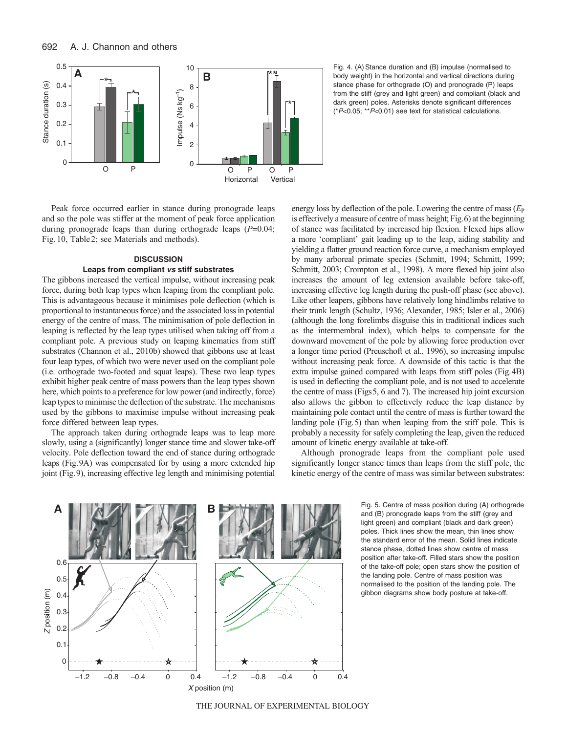

Fig. 4. (A) Stance duration and (B) impulse (normalised to body weight) in the horizontal and vertical directions during stance phase for orthograde (O) and pronograde (P) leaps from the stiff (grey and light green) and compliant (black and dark green) poles. Asterisks denote significant differences (\*P<0.05; \*\*P<0.01) see text for statistical calculations.

Peak force occurred earlier in stance during pronograde leaps and so the pole was stiffer at the moment of peak force application during pronograde leaps than during orthograde leaps  $(P=0.04)$ ; Fig.10, Table2; see Materials and methods).

# **DISCUSSION Leaps from compliant vs stiff substrates**

The gibbons increased the vertical impulse, without increasing peak force, during both leap types when leaping from the compliant pole. This is advantageous because it minimises pole deflection (which is proportional to instantaneous force) and the associated loss in potential energy of the centre of mass. The minimisation of pole deflection in leaping is reflected by the leap types utilised when taking off from a compliant pole. A previous study on leaping kinematics from stiff substrates (Channon et al., 2010b) showed that gibbons use at least four leap types, of which two were never used on the compliant pole (i.e. orthograde two-footed and squat leaps). These two leap types exhibit higher peak centre of mass powers than the leap types shown here, which points to a preference for low power (and indirectly, force) leap types to minimise the deflection of the substrate. The mechanisms used by the gibbons to maximise impulse without increasing peak force differed between leap types.

The approach taken during orthograde leaps was to leap more slowly, using a (significantly) longer stance time and slower take-off velocity. Pole deflection toward the end of stance during orthograde leaps (Fig.9A) was compensated for by using a more extended hip joint (Fig.9), increasing effective leg length and minimising potential

energy loss by deflection of the pole. Lowering the centre of mass ( $E_P$ ) is effectively a measure of centre of mass height; Fig.6) at the beginning of stance was facilitated by increased hip flexion. Flexed hips allow a more 'compliant' gait leading up to the leap, aiding stability and yielding a flatter ground reaction force curve, a mechanism employed by many arboreal primate species (Schmitt, 1994; Schmitt, 1999; Schmitt, 2003; Crompton et al., 1998). A more flexed hip joint also increases the amount of leg extension available before take-off, increasing effective leg length during the push-off phase (see above). Like other leapers, gibbons have relatively long hindlimbs relative to their trunk length (Schultz, 1936; Alexander, 1985; Isler et al., 2006) (although the long forelimbs disguise this in traditional indices such as the intermembral index), which helps to compensate for the downward movement of the pole by allowing force production over a longer time period (Preuschoft et al., 1996), so increasing impulse without increasing peak force. A downside of this tactic is that the extra impulse gained compared with leaps from stiff poles (Fig.4B) is used in deflecting the compliant pole, and is not used to accelerate the centre of mass (Figs5, 6 and 7). The increased hip joint excursion also allows the gibbon to effectively reduce the leap distance by maintaining pole contact until the centre of mass is further toward the landing pole (Fig.5) than when leaping from the stiff pole. This is probably a necessity for safely completing the leap, given the reduced amount of kinetic energy available at take-off.

Although pronograde leaps from the compliant pole used significantly longer stance times than leaps from the stiff pole, the kinetic energy of the centre of mass was similar between substrates:



Fig. 5. Centre of mass position during (A) orthograde and (B) pronograde leaps from the stiff (grey and light green) and compliant (black and dark green) poles. Thick lines show the mean, thin lines show the standard error of the mean. Solid lines indicate stance phase, dotted lines show centre of mass position after take-off. Filled stars show the position of the take-off pole; open stars show the position of the landing pole. Centre of mass position was normalised to the position of the landing pole. The gibbon diagrams show body posture at take-off.

THE JOURNAL OF EXPERIMENTAL BIOLOGY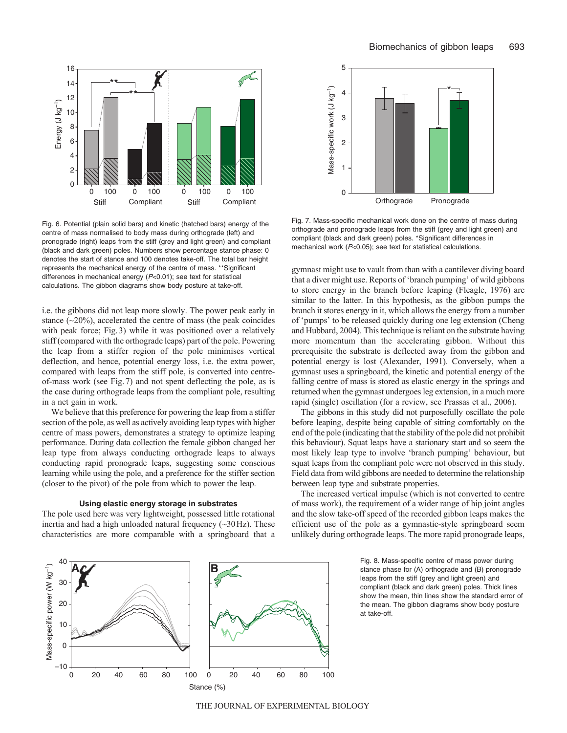

Fig. 6. Potential (plain solid bars) and kinetic (hatched bars) energy of the centre of mass normalised to body mass during orthograde (left) and pronograde (right) leaps from the stiff (grey and light green) and compliant (black and dark green) poles. Numbers show percentage stance phase: 0 denotes the start of stance and 100 denotes take-off. The total bar height represents the mechanical energy of the centre of mass. \*\*Significant differences in mechanical energy (P<0.01); see text for statistical calculations. The gibbon diagrams show body posture at take-off.

i.e. the gibbons did not leap more slowly. The power peak early in stance  $(\sim 20\%)$ , accelerated the centre of mass (the peak coincides with peak force; Fig.3) while it was positioned over a relatively stiff (compared with the orthograde leaps) part of the pole. Powering the leap from a stiffer region of the pole minimises vertical deflection, and hence, potential energy loss, i.e. the extra power, compared with leaps from the stiff pole, is converted into centreof-mass work (see Fig.7) and not spent deflecting the pole, as is the case during orthograde leaps from the compliant pole, resulting in a net gain in work.

We believe that this preference for powering the leap from a stiffer section of the pole, as well as actively avoiding leap types with higher centre of mass powers, demonstrates a strategy to optimize leaping performance. During data collection the female gibbon changed her leap type from always conducting orthograde leaps to always conducting rapid pronograde leaps, suggesting some conscious learning while using the pole, and a preference for the stiffer section (closer to the pivot) of the pole from which to power the leap.

# **Using elastic energy storage in substrates**

The pole used here was very lightweight, possessed little rotational inertia and had a high unloaded natural frequency  $(\sim 30 \text{ Hz})$ . These characteristics are more comparable with a springboard that a



Fig. 7. Mass-specific mechanical work done on the centre of mass during orthograde and pronograde leaps from the stiff (grey and light green) and compliant (black and dark green) poles. \*Significant differences in mechanical work (P<0.05); see text for statistical calculations.

gymnast might use to vault from than with a cantilever diving board that a diver might use. Reports of 'branch pumping' of wild gibbons to store energy in the branch before leaping (Fleagle, 1976) are similar to the latter. In this hypothesis, as the gibbon pumps the branch it stores energy in it, which allows the energy from a number of 'pumps' to be released quickly during one leg extension (Cheng and Hubbard, 2004). This technique is reliant on the substrate having more momentum than the accelerating gibbon. Without this prerequisite the substrate is deflected away from the gibbon and potential energy is lost (Alexander, 1991). Conversely, when a gymnast uses a springboard, the kinetic and potential energy of the falling centre of mass is stored as elastic energy in the springs and returned when the gymnast undergoes leg extension, in a much more rapid (single) oscillation (for a review, see Prassas et al., 2006).

The gibbons in this study did not purposefully oscillate the pole before leaping, despite being capable of sitting comfortably on the end of the pole (indicating that the stability of the pole did not prohibit this behaviour). Squat leaps have a stationary start and so seem the most likely leap type to involve 'branch pumping' behaviour, but squat leaps from the compliant pole were not observed in this study. Field data from wild gibbons are needed to determine the relationship between leap type and substrate properties.

The increased vertical impulse (which is not converted to centre of mass work), the requirement of a wider range of hip joint angles and the slow take-off speed of the recorded gibbon leaps makes the efficient use of the pole as a gymnastic-style springboard seem unlikely during orthograde leaps. The more rapid pronograde leaps,



Fig. 8. Mass-specific centre of mass power during stance phase for (A) orthograde and (B) pronograde leaps from the stiff (grey and light green) and compliant (black and dark green) poles. Thick lines show the mean, thin lines show the standard error of the mean. The gibbon diagrams show body posture at take-off.

THE JOURNAL OF EXPERIMENTAL BIOLOGY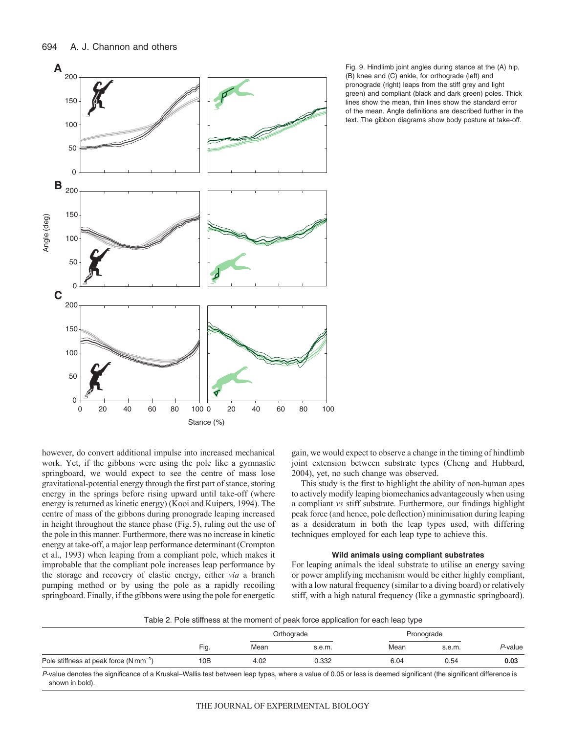

Fig. 9. Hindlimb joint angles during stance at the (A) hip, (B) knee and (C) ankle, for orthograde (left) and pronograde (right) leaps from the stiff grey and light green) and compliant (black and dark green) poles. Thick lines show the mean, thin lines show the standard error of the mean. Angle definitions are described further in the text. The gibbon diagrams show body posture at take-off.

however, do convert additional impulse into increased mechanical work. Yet, if the gibbons were using the pole like a gymnastic springboard, we would expect to see the centre of mass lose gravitational-potential energy through the first part of stance, storing energy in the springs before rising upward until take-off (where energy is returned as kinetic energy) (Kooi and Kuipers, 1994). The centre of mass of the gibbons during pronograde leaping increased in height throughout the stance phase (Fig.5), ruling out the use of the pole in this manner. Furthermore, there was no increase in kinetic energy at take-off, a major leap performance determinant (Crompton et al., 1993) when leaping from a compliant pole, which makes it improbable that the compliant pole increases leap performance by the storage and recovery of elastic energy, either *via* a branch pumping method or by using the pole as a rapidly recoiling springboard. Finally, if the gibbons were using the pole for energetic

gain, we would expect to observe a change in the timing of hindlimb joint extension between substrate types (Cheng and Hubbard, 2004), yet, no such change was observed.

This study is the first to highlight the ability of non-human apes to actively modify leaping biomechanics advantageously when using a compliant *vs* stiff substrate. Furthermore, our findings highlight peak force (and hence, pole deflection) minimisation during leaping as a desideratum in both the leap types used, with differing techniques employed for each leap type to achieve this.

# **Wild animals using compliant substrates**

For leaping animals the ideal substrate to utilise an energy saving or power amplifying mechanism would be either highly compliant, with a low natural frequency (similar to a diving board) or relatively stiff, with a high natural frequency (like a gymnastic springboard).

Table 2. Pole stiffness at the moment of peak force application for each leap type

|                                           |      |      | Orthograde | Pronograde |        |         |
|-------------------------------------------|------|------|------------|------------|--------|---------|
|                                           | Fig. | Mean | s.e.m.     | Mean       | s.e.m. | P-value |
| Pole stiffness at peak force $(Nmm^{-1})$ | 10B  | 4.02 | 0.332      | 6.04       | 0.54   | 0.03    |

P-value denotes the significance of a Kruskal–Wallis test between leap types, where a value of 0.05 or less is deemed significant (the significant difference is shown in bold).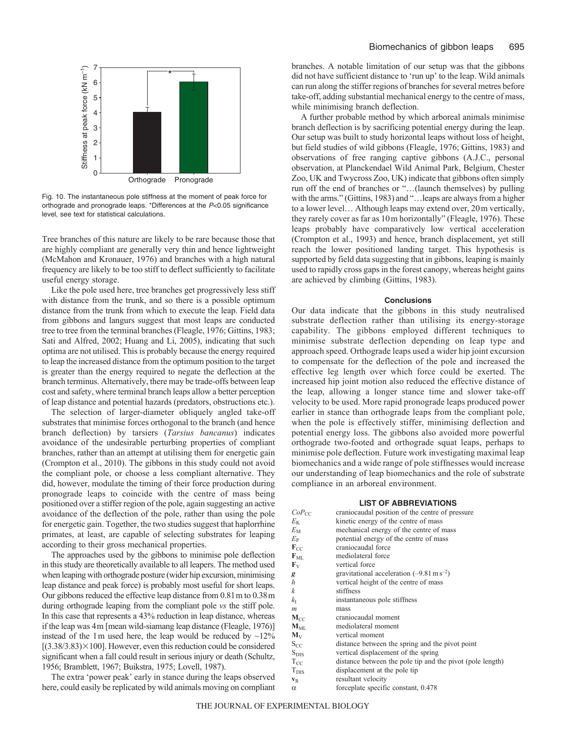

Fig. 10. The instantaneous pole stiffness at the moment of peak force for orthograde and pronograde leaps. \*Differences at the P<0.05 significance level, see text for statistical calculations.

Tree branches of this nature are likely to be rare because those that are highly compliant are generally very thin and hence lightweight (McMahon and Kronauer, 1976) and branches with a high natural frequency are likely to be too stiff to deflect sufficiently to facilitate useful energy storage.

Like the pole used here, tree branches get progressively less stiff with distance from the trunk, and so there is a possible optimum distance from the trunk from which to execute the leap. Field data from gibbons and langurs suggest that most leaps are conducted tree to tree from the terminal branches (Fleagle, 1976; Gittins, 1983; Sati and Alfred, 2002; Huang and Li, 2005), indicating that such optima are not utilised. This is probably because the energy required to leap the increased distance from the optimum position to the target is greater than the energy required to negate the deflection at the branch terminus. Alternatively, there may be trade-offs between leap cost and safety, where terminal branch leaps allow a better perception of leap distance and potential hazards (predators, obstructions etc.).

The selection of larger-diameter obliquely angled take-off substrates that minimise forces orthogonal to the branch (and hence branch deflection) by tarsiers (*Tarsius bancanus*) indicates avoidance of the undesirable perturbing properties of compliant branches, rather than an attempt at utilising them for energetic gain (Crompton et al., 2010). The gibbons in this study could not avoid the compliant pole, or choose a less compliant alternative. They did, however, modulate the timing of their force production during pronograde leaps to coincide with the centre of mass being positioned over a stiffer region of the pole, again suggesting an active avoidance of the deflection of the pole, rather than using the pole for energetic gain. Together, the two studies suggest that haplorrhine primates, at least, are capable of selecting substrates for leaping according to their gross mechanical properties.

The approaches used by the gibbons to minimise pole deflection in this study are theoretically available to all leapers. The method used when leaping with orthograde posture (wider hip excursion, minimising leap distance and peak force) is probably most useful for short leaps. Our gibbons reduced the effective leap distance from 0.81m to 0.38m during orthograde leaping from the compliant pole *vs* the stiff pole. In this case that represents a 43% reduction in leap distance, whereas if the leap was 4m [mean wild-siamang leap distance (Fleagle, 1976)] instead of the 1m used here, the leap would be reduced by  $\sim$ 12%  $[(3.38/3.83) \times 100]$ . However, even this reduction could be considered significant when a fall could result in serious injury or death (Schultz, 1956; Bramblett, 1967; Buikstra, 1975; Lovell, 1987).

The extra 'power peak' early in stance during the leaps observed here, could easily be replicated by wild animals moving on compliant branches. A notable limitation of our setup was that the gibbons did not have sufficient distance to 'run up' to the leap. Wild animals can run along the stiffer regions of branches for several metres before take-off, adding substantial mechanical energy to the centre of mass, while minimising branch deflection.

A further probable method by which arboreal animals minimise branch deflection is by sacrificing potential energy during the leap. Our setup was built to study horizontal leaps without loss of height, but field studies of wild gibbons (Fleagle, 1976; Gittins, 1983) and observations of free ranging captive gibbons (A.J.C., personal observation, at Planckendael Wild Animal Park, Belgium, Chester Zoo, UK and Twycross Zoo, UK) indicate that gibbons often simply run off the end of branches or "…(launch themselves) by pulling with the arms." (Gittins, 1983) and "... leaps are always from a higher to a lower level… Although leaps may extend over, 20m vertically, they rarely cover as far as 10m horizontally" (Fleagle, 1976). These leaps probably have comparatively low vertical acceleration (Crompton et al., 1993) and hence, branch displacement, yet still reach the lower positioned landing target. This hypothesis is supported by field data suggesting that in gibbons, leaping is mainly used to rapidly cross gaps in the forest canopy, whereas height gains are achieved by climbing (Gittins, 1983).

### **Conclusions**

Our data indicate that the gibbons in this study neutralised substrate deflection rather than utilising its energy-storage capability. The gibbons employed different techniques to minimise substrate deflection depending on leap type and approach speed. Orthograde leaps used a wider hip joint excursion to compensate for the deflection of the pole and increased the effective leg length over which force could be exerted. The increased hip joint motion also reduced the effective distance of the leap, allowing a longer stance time and slower take-off velocity to be used. More rapid pronograde leaps produced power earlier in stance than orthograde leaps from the compliant pole, when the pole is effectively stiffer, minimising deflection and potential energy loss. The gibbons also avoided more powerful orthograde two-footed and orthograde squat leaps, perhaps to minimise pole deflection. Future work investigating maximal leap biomechanics and a wide range of pole stiffnesses would increase our understanding of leap biomechanics and the role of substrate compliance in an arboreal environment.

# **LIST OF ABBREVIATIONS**

| $CoP_{CC}$                  | craniocaudal position of the centre of pressure           |
|-----------------------------|-----------------------------------------------------------|
| $E_{\rm K}$                 | kinetic energy of the centre of mass                      |
| $E_{\rm M}$                 | mechanical energy of the centre of mass                   |
| $E_{\rm P}$                 | potential energy of the centre of mass                    |
| $\mathbf{F}_{\mathrm{CC}}$  | craniocaudal force                                        |
| $\mathbf{F}_{\text{ML}}$    | mediolateral force                                        |
| ${\bf F}_{\rm V}$           | vertical force                                            |
| g                           | gravitational acceleration $(-9.81 \text{ m s}^{-2})$     |
| h                           | vertical height of the centre of mass                     |
| k                           | stiffness                                                 |
| kτ                          | instantaneous pole stiffness                              |
| m                           | mass                                                      |
| $M_{CC}$                    | craniocaudal moment                                       |
| $\mathbf{M}_{\rm ML}$       | mediolateral moment                                       |
| $\mathbf{M}_{\rm V}$        | vertical moment                                           |
| $\rm{S_{CC}}$               | distance between the spring and the pivot point           |
| $\rm{S}_{\rm{DIS}}$         | vertical displacement of the spring                       |
| $T_{\rm CC}$                | distance between the pole tip and the pivot (pole length) |
| $\mathrm{T}_{\mathrm{DIS}}$ | displacement at the pole tip                              |
| $\mathbf{v}_\text{R}$       | resultant velocity                                        |
| α                           | forceplate specific constant, 0.478                       |